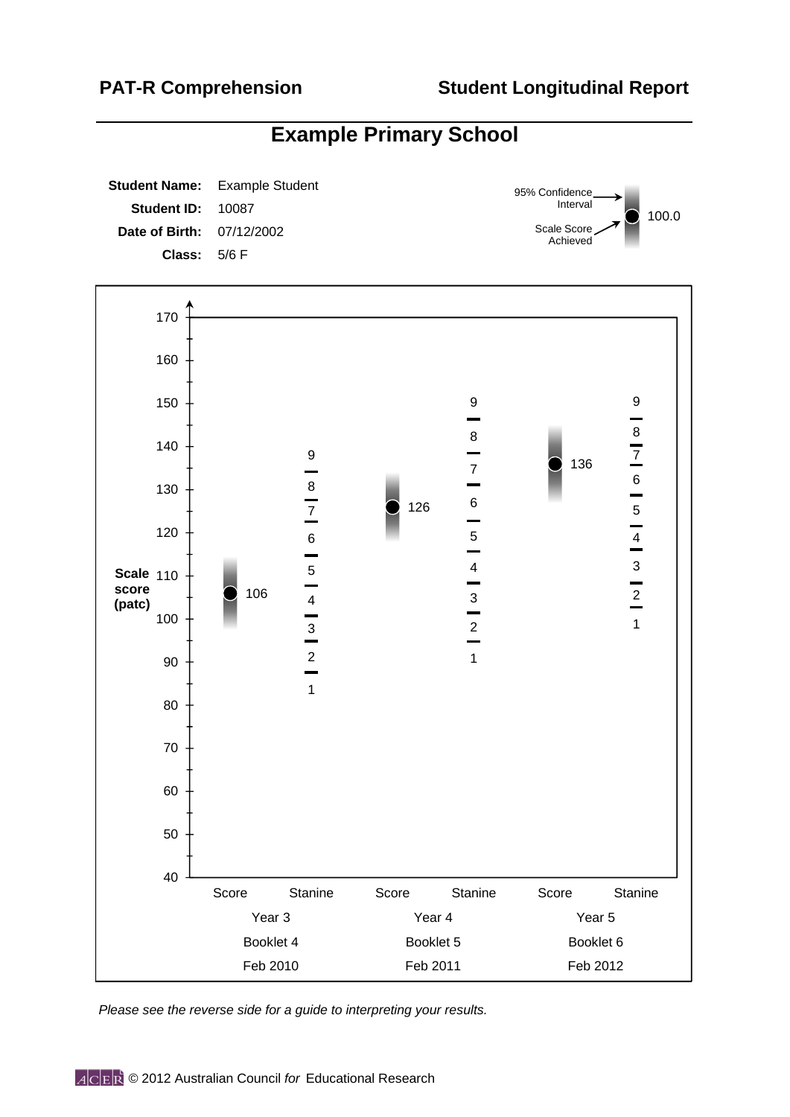**Student Name: Student ID: Date of Birth: Class:** Example Student 10087 07/12/2002 5/6 F 126 136 4 3 4 5  $\overline{5}$ 5 6 6 6 7 7 7 8 8 8 9 9 9 **Scale** 110 120 130 140 150 160 170 100.0 95% Confidence Interval Scale Score Achieved 106 2  $\frac{3}{2}$ 2 3 4 3 1 1 1 40 50 60 70 80 90 100 Score Stanine Score Stanine Score Stanine Year 3 Year 4 Year 5 Booklet 4 Booklet 5 Booklet 6 Feb 2010 Feb 2011 Feb 2012 **score (patc)**

**Example Primary School**

*Please see the reverse side for a guide to interpreting your results.*